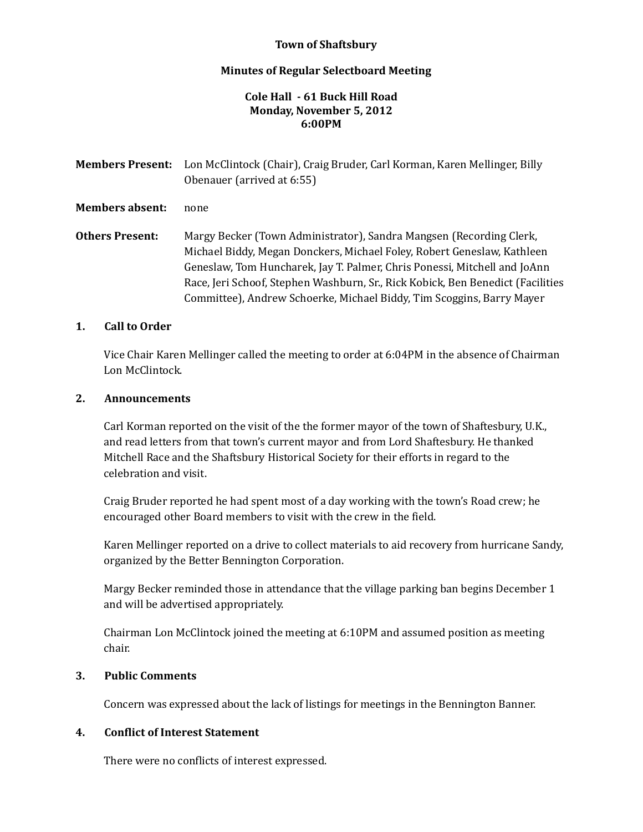## **Town of Shaftsbury**

#### **Minutes of Regular Selectboard Meeting**

#### **Cole Hall ‐ 61 Buck Hill Road Monday, November 5, 2012 6:00PM**

**Members Present:** Lon McClintock (Chair), Craig Bruder, Carl Korman, Karen Mellinger, Billy Obenauer (arrived at 6:55) **Members absent:** none **Others Present:** Margy Becker (Town Administrator), Sandra Mangsen (Recording Clerk, Michael Biddy, Megan Donckers, Michael Foley, Robert Geneslaw, Kathleen Geneslaw, Tom Huncharek, Jay T. Palmer, Chris Ponessi, Mitchell and JoAnn

#### **1. Call to Order**

Vice Chair Karen Mellinger called the meeting to order at 6:04PM in the absence of Chairman Lon McClintock.

Race, Jeri Schoof, Stephen Washburn, Sr., Rick Kobick, Ben Benedict (Facilities Committee), Andrew Schoerke, Michael Biddy, Tim Scoggins, Barry Mayer

#### **2. Announcements**

Carl Korman reported on the visit of the the former mayor of the town of Shaftesbury, U.K., and read letters from that town's current mayor and from Lord Shaftesbury. He thanked Mitchell Race and the Shaftsbury Historical Society for their efforts in regard to the celebration and visit.

Craig Bruder reported he had spent most of a day working with the town's Road crew; he encouraged other Board members to visit with the crew in the field.

Karen Mellinger reported on a drive to collect materials to aid recovery from hurricane Sandy, organized by the Better Bennington Corporation.

Margy Becker reminded those in attendance that the village parking ban begins December 1 and will be advertised appropriately.

Chairman Lon McClintock joined the meeting at 6:10PM and assumed position as meeting chair.

#### **3. Public Comments**

Concern was expressed about the lack of listings for meetings in the Bennington Banner.

## **4. Conflict of Interest Statement**

There were no conflicts of interest expressed.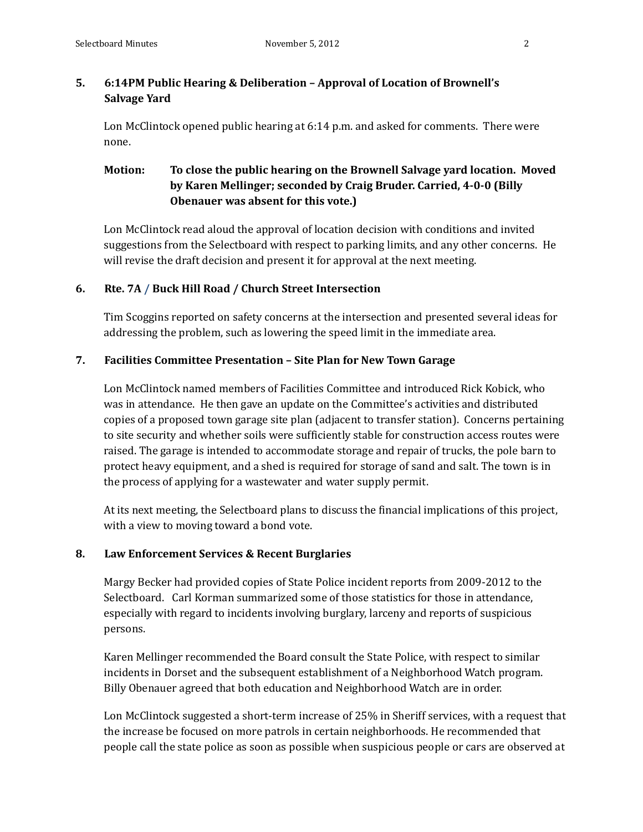# **5. 6:14PM Public Hearing & Deliberation – Approval of Location of Brownell's Salvage Yard**

Lon McClintock opened public hearing at  $6:14$  p.m. and asked for comments. There were none.

# **Motion: To close the public hearing on the Brownell Salvage yard location. Moved by Karen Mellinger; seconded by Craig Bruder. Carried, 4‐0‐0 (Billy Obenauer was absent for this vote.)**

Lon McClintock read aloud the approval of location decision with conditions and invited suggestions from the Selectboard with respect to parking limits, and any other concerns. He will revise the draft decision and present it for approval at the next meeting.

# **6. Rte. 7A / Buck Hill Road / Church Street Intersection**

Tim Scoggins reported on safety concerns at the intersection and presented several ideas for addressing the problem, such as lowering the speed limit in the immediate area.

## **7. Facilities Committee Presentation – Site Plan for New Town Garage**

Lon McClintock named members of Facilities Committee and introduced Rick Kobick, who was in attendance. He then gave an update on the Committee's activities and distributed copies of a proposed town garage site plan (adjacent to transfer station). Concerns pertaining to site security and whether soils were sufficiently stable for construction access routes were raised. The garage is intended to accommodate storage and repair of trucks, the pole barn to protect heavy equipment, and a shed is required for storage of sand and salt. The town is in the process of applying for a wastewater and water supply permit.

At its next meeting, the Selectboard plans to discuss the financial implications of this project, with a view to moving toward a bond vote.

## **8. Law Enforcement Services & Recent Burglaries**

Margy Becker had provided copies of State Police incident reports from 2009-2012 to the Selectboard. Carl Korman summarized some of those statistics for those in attendance, especially with regard to incidents involving burglary, larceny and reports of suspicious persons. 

Karen Mellinger recommended the Board consult the State Police, with respect to similar incidents in Dorset and the subsequent establishment of a Neighborhood Watch program. Billy Obenauer agreed that both education and Neighborhood Watch are in order.

Lon McClintock suggested a short-term increase of 25% in Sheriff services, with a request that the increase be focused on more patrols in certain neighborhoods. He recommended that people call the state police as soon as possible when suspicious people or cars are observed at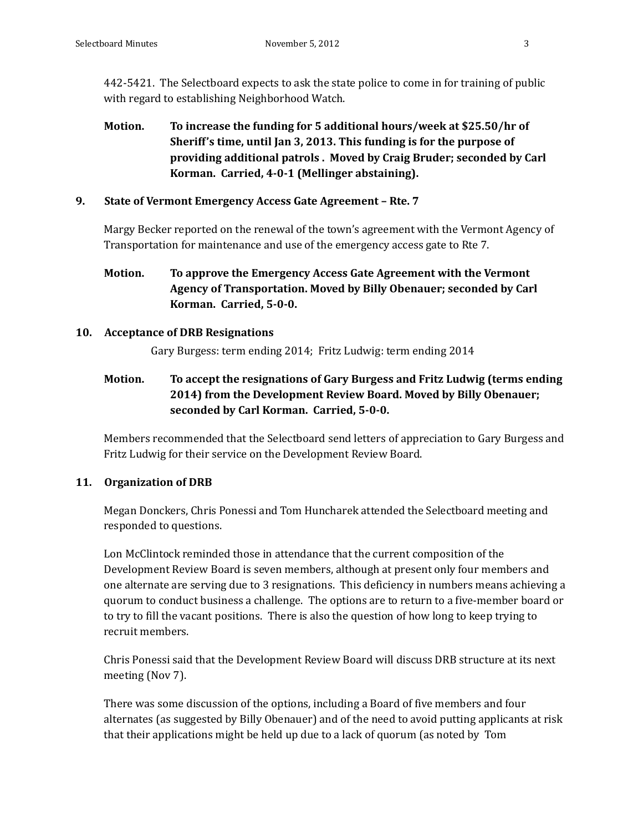442-5421. The Selectboard expects to ask the state police to come in for training of public with regard to establishing Neighborhood Watch.

**Motion. To increase the funding for 5 additional hours/week at \$25.50/hr of Sheriff's time, until Jan 3, 2013. This funding is for the purpose of providing additional patrols . Moved by Craig Bruder; seconded by Carl Korman. Carried, 4‐0‐1 (Mellinger abstaining).**

# **9. State of Vermont Emergency Access Gate Agreement – Rte. 7**

Margy Becker reported on the renewal of the town's agreement with the Vermont Agency of Transportation for maintenance and use of the emergency access gate to Rte 7.

**Motion. To approve the Emergency Access Gate Agreement with the Vermont Agency of Transportation. Moved by Billy Obenauer; seconded by Carl Korman. Carried, 5‐0‐0.**

# **10. Acceptance of DRB Resignations**

Gary Burgess: term ending 2014; Fritz Ludwig: term ending 2014

**Motion. To accept the resignations of Gary Burgess and Fritz Ludwig (terms ending 2014) from the Development Review Board. Moved by Billy Obenauer; seconded by Carl Korman. Carried, 5‐0‐0.**

Members recommended that the Selectboard send letters of appreciation to Gary Burgess and Fritz Ludwig for their service on the Development Review Board.

# **11. Organization of DRB**

Megan Donckers, Chris Ponessi and Tom Huncharek attended the Selectboard meeting and responded to questions.

Lon McClintock reminded those in attendance that the current composition of the Development Review Board is seven members, although at present only four members and one alternate are serving due to 3 resignations. This deficiency in numbers means achieving a quorum to conduct business a challenge. The options are to return to a five-member board or to try to fill the vacant positions. There is also the question of how long to keep trying to recruit members.

Chris Ponessi said that the Development Review Board will discuss DRB structure at its next meeting (Nov 7).

There was some discussion of the options, including a Board of five members and four alternates (as suggested by Billy Obenauer) and of the need to avoid putting applicants at risk that their applications might be held up due to a lack of quorum (as noted by Tom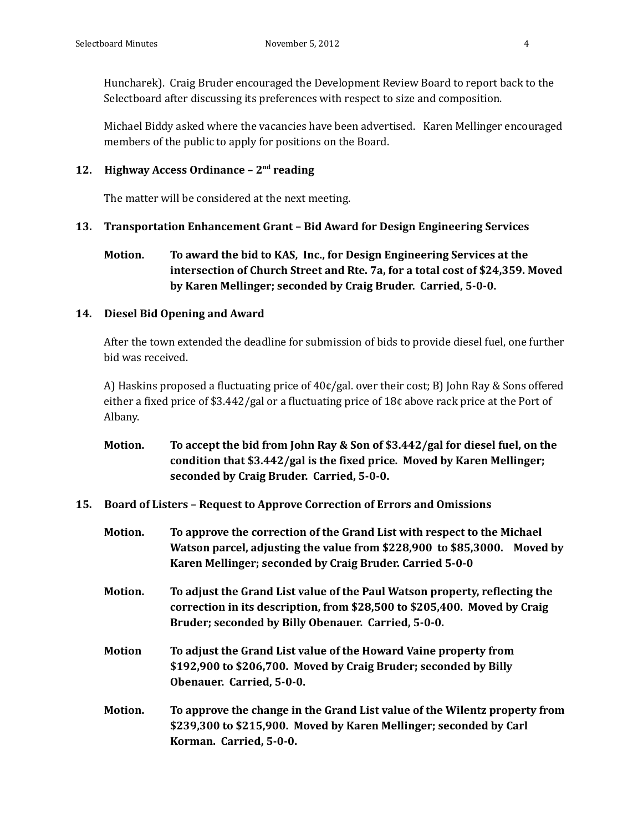Huncharek). Craig Bruder encouraged the Development Review Board to report back to the Selectboard after discussing its preferences with respect to size and composition.

Michael Biddy asked where the vacancies have been advertised. Karen Mellinger encouraged members of the public to apply for positions on the Board.

# **12. Highway Access Ordinance – 2nd reading**

The matter will be considered at the next meeting.

# **13. Transportation Enhancement Grant – Bid Award for Design Engineering Services**

**Motion. To award the bid to KAS, Inc., for Design Engineering Services at the intersection of Church Street and Rte. 7a, for a total cost of \$24,359. Moved by Karen Mellinger; seconded by Craig Bruder. Carried, 5‐0‐0.**

# **14. Diesel Bid Opening and Award**

After the town extended the deadline for submission of bids to provide diesel fuel, one further bid was received.

A) Haskins proposed a fluctuating price of  $40¢$  gal. over their cost; B) John Ray & Sons offered either a fixed price of \$3.442/gal or a fluctuating price of  $18¢$  above rack price at the Port of Albany.

- **Motion. To accept the bid from John Ray & Son of \$3.442/gal for diesel fuel, on the condition that \$3.442/gal is the fixed price. Moved by Karen Mellinger; seconded by Craig Bruder. Carried, 5‐0‐0.**
- **15. Board of Listers – Request to Approve Correction of Errors and Omissions**
	- **Motion. To approve the correction of the Grand List with respect to the Michael Watson parcel, adjusting the value from \$228,900 to \$85,3000. Moved by Karen Mellinger; seconded by Craig Bruder. Carried 5‐0‐0**
	- **Motion. To adjust the Grand List value of the Paul Watson property, reflecting the correction in its description, from \$28,500 to \$205,400. Moved by Craig Bruder; seconded by Billy Obenauer. Carried, 5‐0‐0.**
	- **Motion To adjust the Grand List value of the Howard Vaine property from \$192,900 to \$206,700. Moved by Craig Bruder; seconded by Billy Obenauer. Carried, 5‐0‐0.**
	- **Motion. To approve the change in the Grand List value of the Wilentz property from \$239,300 to \$215,900. Moved by Karen Mellinger; seconded by Carl Korman. Carried, 5‐0‐0.**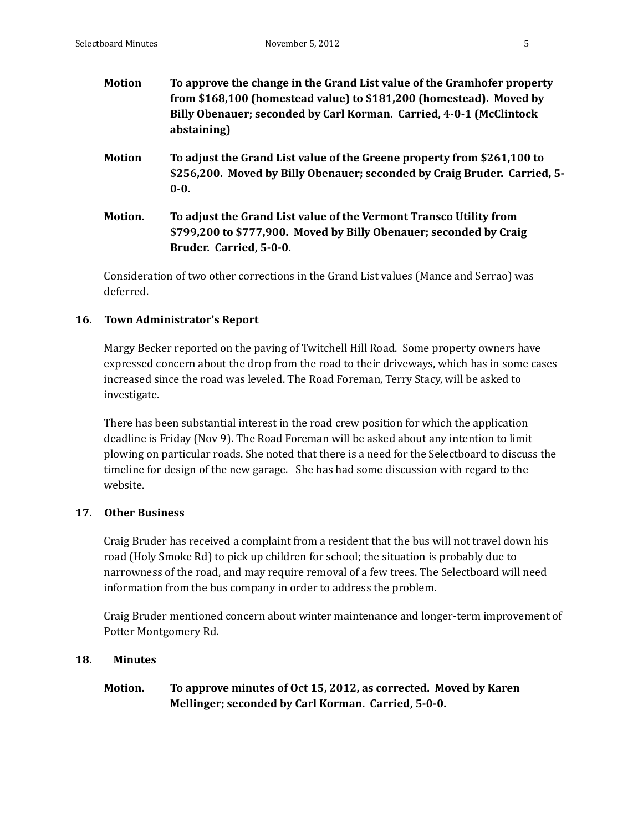| <b>Motion</b> | To approve the change in the Grand List value of the Gramhofer property<br>from \$168,100 (homestead value) to \$181,200 (homestead). Moved by<br>Billy Obenauer; seconded by Carl Korman. Carried, 4-0-1 (McClintock)<br>abstaining) |
|---------------|---------------------------------------------------------------------------------------------------------------------------------------------------------------------------------------------------------------------------------------|
| <b>Motion</b> | To adjust the Grand List value of the Greene property from \$261,100 to<br>\$256,200. Moved by Billy Obenauer; seconded by Craig Bruder. Carried, 5-<br>$0 - 0.$                                                                      |
| Motion.       | To adjust the Grand List value of the Vermont Transco Utility from<br>\$799,200 to \$777,900. Moved by Billy Obenauer; seconded by Craig<br>Bruder. Carried, 5-0-0.                                                                   |

Consideration of two other corrections in the Grand List values (Mance and Serrao) was deferred. 

## **16. Town Administrator's Report**

Margy Becker reported on the paving of Twitchell Hill Road. Some property owners have expressed concern about the drop from the road to their driveways, which has in some cases increased since the road was leveled. The Road Foreman, Terry Stacy, will be asked to investigate. 

There has been substantial interest in the road crew position for which the application deadline is Friday (Nov 9). The Road Foreman will be asked about any intention to limit plowing on particular roads. She noted that there is a need for the Selectboard to discuss the timeline for design of the new garage. She has had some discussion with regard to the website.

## **17. Other Business**

Craig Bruder has received a complaint from a resident that the bus will not travel down his road (Holy Smoke Rd) to pick up children for school; the situation is probably due to narrowness of the road, and may require removal of a few trees. The Selectboard will need information from the bus company in order to address the problem.

Craig Bruder mentioned concern about winter maintenance and longer-term improvement of Potter Montgomery Rd.

## **18. Minutes**

# **Motion. To approve minutes of Oct 15, 2012, as corrected. Moved by Karen Mellinger; seconded by Carl Korman. Carried, 5‐0‐0.**